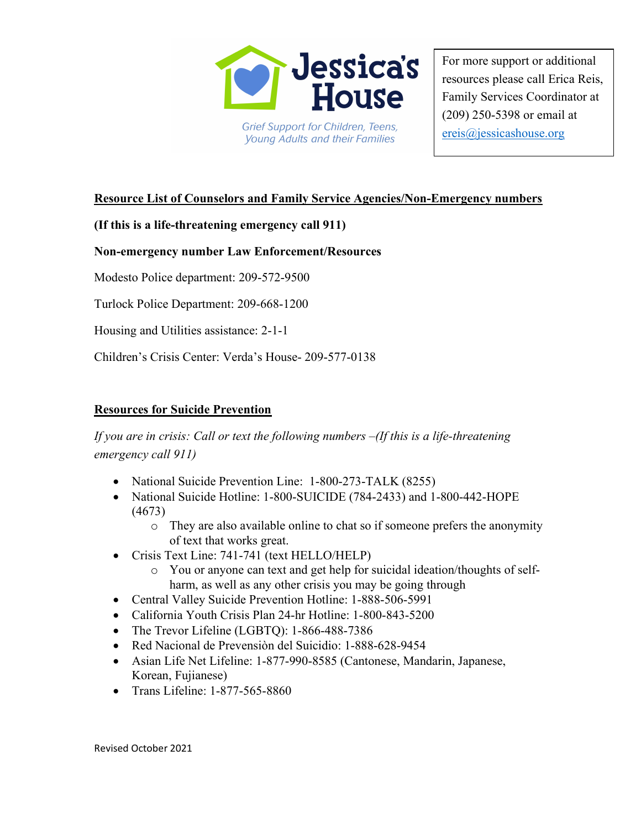

For more support or additional resources please call Erica Reis, Family Services Coordinator at (209) 250-5398 or email at ereis@jessicashouse.org

# Resource List of Counselors and Family Service Agencies/Non-Emergency numbers

(If this is a life-threatening emergency call 911)

## Non-emergency number Law Enforcement/Resources

Modesto Police department: 209-572-9500

Turlock Police Department: 209-668-1200

Housing and Utilities assistance: 2-1-1

Children's Crisis Center: Verda's House- 209-577-0138

## Resources for Suicide Prevention

If you are in crisis: Call or text the following numbers –(If this is a life-threatening emergency call 911)

- National Suicide Prevention Line: 1-800-273-TALK (8255)
- National Suicide Hotline: 1-800-SUICIDE (784-2433) and 1-800-442-HOPE (4673)
	- o They are also available online to chat so if someone prefers the anonymity of text that works great.
- Crisis Text Line: 741-741 (text HELLO/HELP)
	- o You or anyone can text and get help for suicidal ideation/thoughts of selfharm, as well as any other crisis you may be going through
- Central Valley Suicide Prevention Hotline: 1-888-506-5991
- California Youth Crisis Plan 24-hr Hotline: 1-800-843-5200
- The Trevor Lifeline (LGBTO): 1-866-488-7386
- Red Nacional de Prevensiòn del Suicidio: 1-888-628-9454
- Asian Life Net Lifeline: 1-877-990-8585 (Cantonese, Mandarin, Japanese, Korean, Fujianese)
- Trans Lifeline: 1-877-565-8860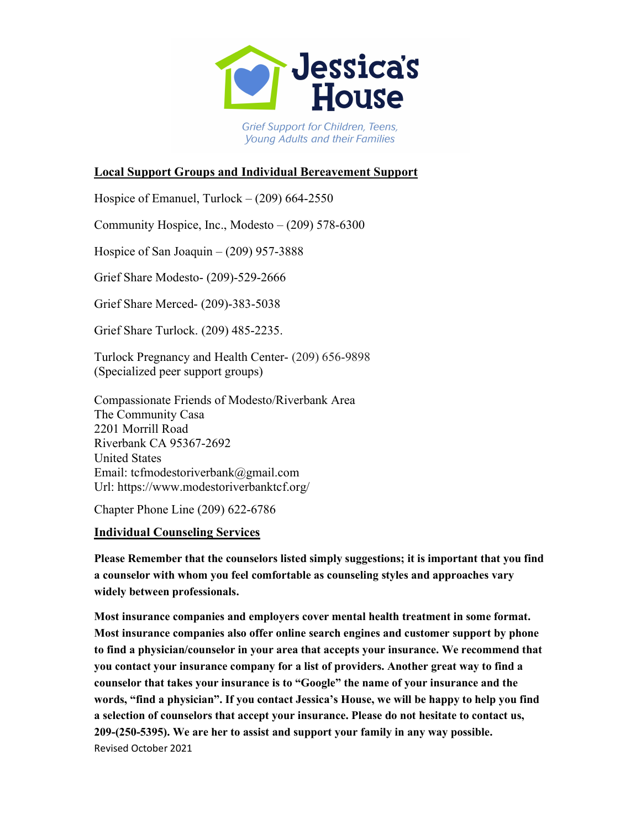

# Local Support Groups and Individual Bereavement Support

Hospice of Emanuel, Turlock  $- (209)$  664-2550

Community Hospice, Inc., Modesto – (209) 578-6300

Hospice of San Joaquin  $-$  (209) 957-3888

Grief Share Modesto- (209)-529-2666

Grief Share Merced- (209)-383-5038

Grief Share Turlock. (209) 485-2235.

Turlock Pregnancy and Health Center- (209) 656-9898 (Specialized peer support groups)

Compassionate Friends of Modesto/Riverbank Area The Community Casa 2201 Morrill Road Riverbank CA 95367-2692 United States Email: tcfmodestoriverbank@gmail.com Url: https://www.modestoriverbanktcf.org/

Chapter Phone Line (209) 622-6786

## Individual Counseling Services

Please Remember that the counselors listed simply suggestions; it is important that you find a counselor with whom you feel comfortable as counseling styles and approaches vary widely between professionals.

Revised October 2021 Most insurance companies and employers cover mental health treatment in some format. Most insurance companies also offer online search engines and customer support by phone to find a physician/counselor in your area that accepts your insurance. We recommend that you contact your insurance company for a list of providers. Another great way to find a counselor that takes your insurance is to "Google" the name of your insurance and the words, "find a physician". If you contact Jessica's House, we will be happy to help you find a selection of counselors that accept your insurance. Please do not hesitate to contact us, 209-(250-5395). We are her to assist and support your family in any way possible.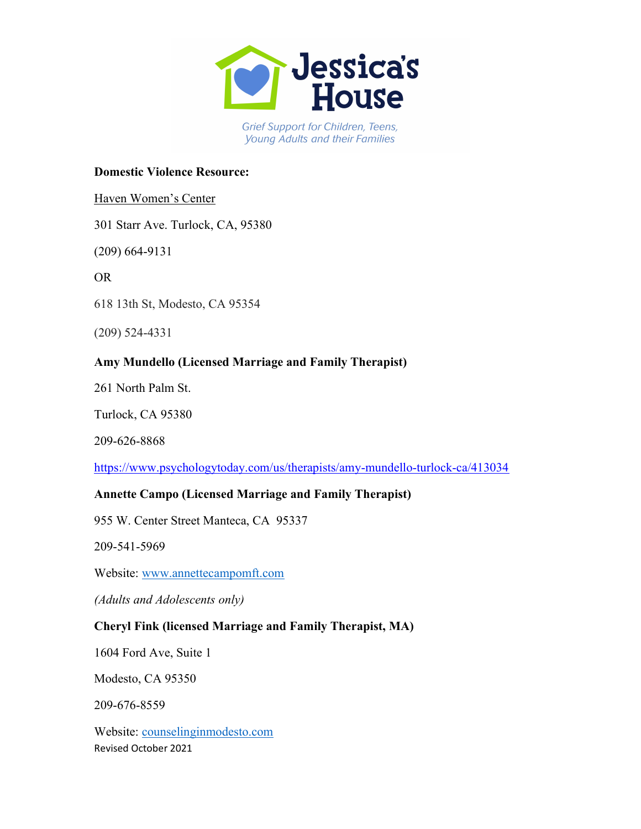

## Domestic Violence Resource:

## Haven Women's Center

301 Starr Ave. Turlock, CA, 95380

(209) 664-9131

OR

618 13th St, Modesto, CA 95354

(209) 524-4331

# Amy Mundello (Licensed Marriage and Family Therapist)

261 North Palm St.

Turlock, CA 95380

209-626-8868

https://www.psychologytoday.com/us/therapists/amy-mundello-turlock-ca/413034

## Annette Campo (Licensed Marriage and Family Therapist)

955 W. Center Street Manteca, CA 95337

209-541-5969

Website: www.annettecampomft.com

(Adults and Adolescents only)

## Cheryl Fink (licensed Marriage and Family Therapist, MA)

1604 Ford Ave, Suite 1

Modesto, CA 95350

209-676-8559

Revised October 2021 Website: counselinginmodesto.com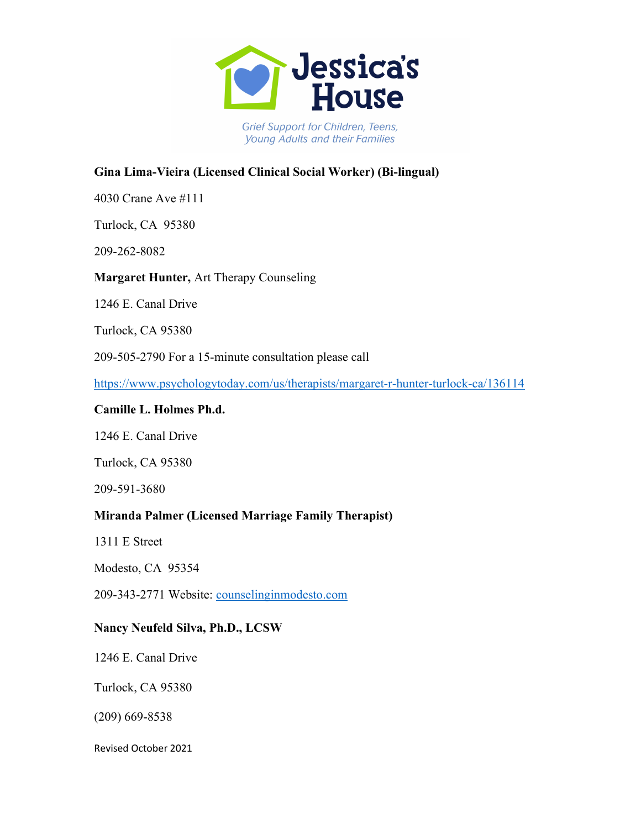

# Gina Lima-Vieira (Licensed Clinical Social Worker) (Bi-lingual)

4030 Crane Ave #111

Turlock, CA 95380

209-262-8082

Margaret Hunter, Art Therapy Counseling

1246 E. Canal Drive

Turlock, CA 95380

209-505-2790 For a 15-minute consultation please call

https://www.psychologytoday.com/us/therapists/margaret-r-hunter-turlock-ca/136114

#### Camille L. Holmes Ph.d.

1246 E. Canal Drive

Turlock, CA 95380

209-591-3680

## Miranda Palmer (Licensed Marriage Family Therapist)

1311 E Street

Modesto, CA 95354

209-343-2771 Website: counselinginmodesto.com

## Nancy Neufeld Silva, Ph.D., LCSW

1246 E. Canal Drive

Turlock, CA 95380

(209) 669-8538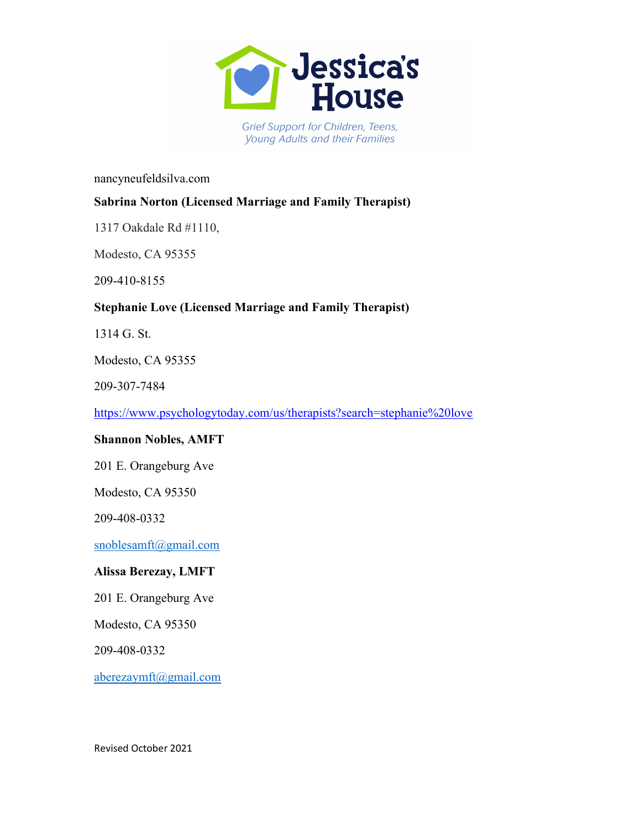

#### nancyneufeldsilva.com

# Sabrina Norton (Licensed Marriage and Family Therapist)

1317 Oakdale Rd #1110,

Modesto, CA 95355

209-410-8155

# Stephanie Love (Licensed Marriage and Family Therapist)

1314 G. St.

Modesto, CA 95355

209-307-7484

https://www.psychologytoday.com/us/therapists?search=stephanie%20love

## Shannon Nobles, AMFT

201 E. Orangeburg Ave

Modesto, CA 95350

209-408-0332

snoblesamft@gmail.com

## Alissa Berezay, LMFT

201 E. Orangeburg Ave

Modesto, CA 95350

209-408-0332

aberezaymft@gmail.com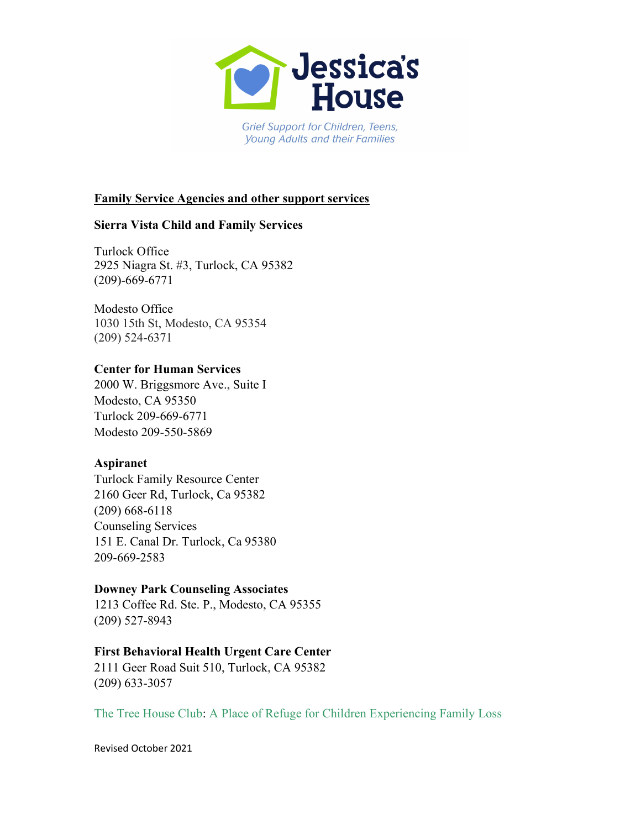

## Family Service Agencies and other support services

## Sierra Vista Child and Family Services

Turlock Office 2925 Niagra St. #3, Turlock, CA 95382 (209)-669-6771

Modesto Office 1030 15th St, Modesto, CA 95354 (209) 524-6371

## Center for Human Services

2000 W. Briggsmore Ave., Suite I Modesto, CA 95350 Turlock 209-669-6771 Modesto 209-550-5869

## Aspiranet

Turlock Family Resource Center 2160 Geer Rd, Turlock, Ca 95382 (209) 668-6118 Counseling Services 151 E. Canal Dr. Turlock, Ca 95380 209-669-2583

## Downey Park Counseling Associates

1213 Coffee Rd. Ste. P., Modesto, CA 95355 (209) 527-8943

## First Behavioral Health Urgent Care Center

2111 Geer Road Suit 510, Turlock, CA 95382 (209) 633-3057

The Tree House Club: A Place of Refuge for Children Experiencing Family Loss